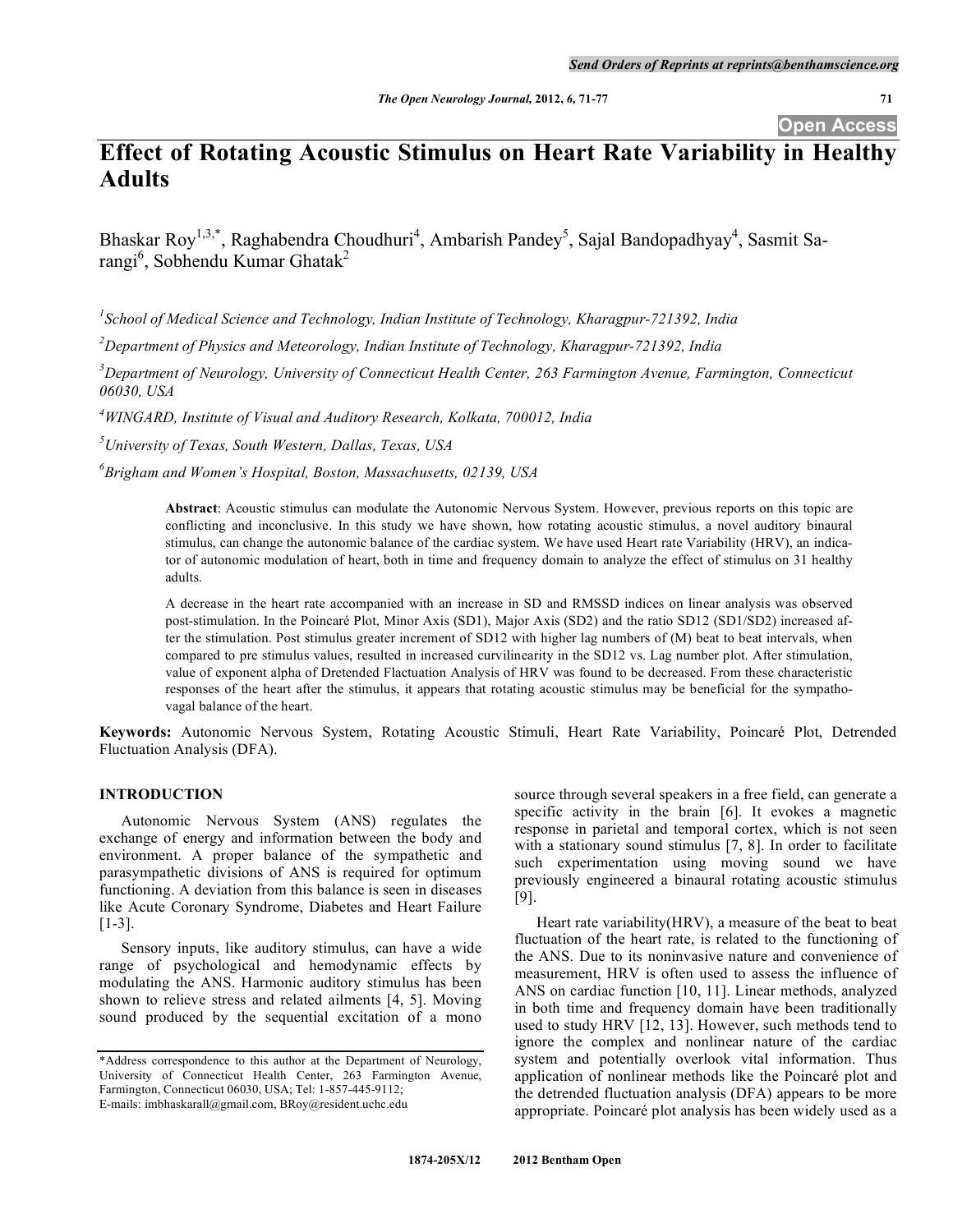**Open Access** 

# **Effect of Rotating Acoustic Stimulus on Heart Rate Variability in Healthy Adults**

Bhaskar Roy<sup>1,3,\*</sup>, Raghabendra Choudhuri<sup>4</sup>, Ambarish Pandey<sup>5</sup>, Sajal Bandopadhyay<sup>4</sup>, Sasmit Sarangi<sup>6</sup>, Sobhendu Kumar Ghatak<sup>2</sup>

*1 School of Medical Science and Technology, Indian Institute of Technology, Kharagpur-721392, India* 

*2 Department of Physics and Meteorology, Indian Institute of Technology, Kharagpur-721392, India* 

*3 Department of Neurology, University of Connecticut Health Center, 263 Farmington Avenue, Farmington, Connecticut 06030, USA* 

*4 WINGARD, Institute of Visual and Auditory Research, Kolkata, 700012, India* 

*5 University of Texas, South Western, Dallas, Texas, USA* 

*6 Brigham and Women's Hospital, Boston, Massachusetts, 02139, USA* 

**Abstract**: Acoustic stimulus can modulate the Autonomic Nervous System. However, previous reports on this topic are conflicting and inconclusive. In this study we have shown, how rotating acoustic stimulus, a novel auditory binaural stimulus, can change the autonomic balance of the cardiac system. We have used Heart rate Variability (HRV), an indicator of autonomic modulation of heart, both in time and frequency domain to analyze the effect of stimulus on 31 healthy adults.

A decrease in the heart rate accompanied with an increase in SD and RMSSD indices on linear analysis was observed post-stimulation. In the Poincaré Plot, Minor Axis (SD1), Major Axis (SD2) and the ratio SD12 (SD1/SD2) increased after the stimulation. Post stimulus greater increment of SD12 with higher lag numbers of (M) beat to beat intervals, when compared to pre stimulus values, resulted in increased curvilinearity in the SD12 vs. Lag number plot. After stimulation, value of exponent alpha of Dretended Flactuation Analysis of HRV was found to be decreased. From these characteristic responses of the heart after the stimulus, it appears that rotating acoustic stimulus may be beneficial for the sympathovagal balance of the heart.

**Keywords:** Autonomic Nervous System, Rotating Acoustic Stimuli, Heart Rate Variability, Poincaré Plot, Detrended Fluctuation Analysis (DFA).

# **INTRODUCTION**

 Autonomic Nervous System (ANS) regulates the exchange of energy and information between the body and environment. A proper balance of the sympathetic and parasympathetic divisions of ANS is required for optimum functioning. A deviation from this balance is seen in diseases like Acute Coronary Syndrome, Diabetes and Heart Failure [1-3].

 Sensory inputs, like auditory stimulus, can have a wide range of psychological and hemodynamic effects by modulating the ANS. Harmonic auditory stimulus has been shown to relieve stress and related ailments [4, 5]. Moving sound produced by the sequential excitation of a mono

source through several speakers in a free field, can generate a specific activity in the brain [6]. It evokes a magnetic response in parietal and temporal cortex, which is not seen with a stationary sound stimulus [7, 8]. In order to facilitate such experimentation using moving sound we have previously engineered a binaural rotating acoustic stimulus [9].

 Heart rate variability(HRV), a measure of the beat to beat fluctuation of the heart rate, is related to the functioning of the ANS. Due to its noninvasive nature and convenience of measurement, HRV is often used to assess the influence of ANS on cardiac function [10, 11]. Linear methods, analyzed in both time and frequency domain have been traditionally used to study HRV [12, 13]. However, such methods tend to ignore the complex and nonlinear nature of the cardiac system and potentially overlook vital information. Thus application of nonlinear methods like the Poincaré plot and the detrended fluctuation analysis (DFA) appears to be more appropriate. Poincaré plot analysis has been widely used as a

<sup>\*</sup>Address correspondence to this author at the Department of Neurology, University of Connecticut Health Center, 263 Farmington Avenue, Farmington, Connecticut 06030, USA; Tel: 1-857-445-9112; E-mails: imbhaskarall@gmail.com, BRoy@resident.uchc.edu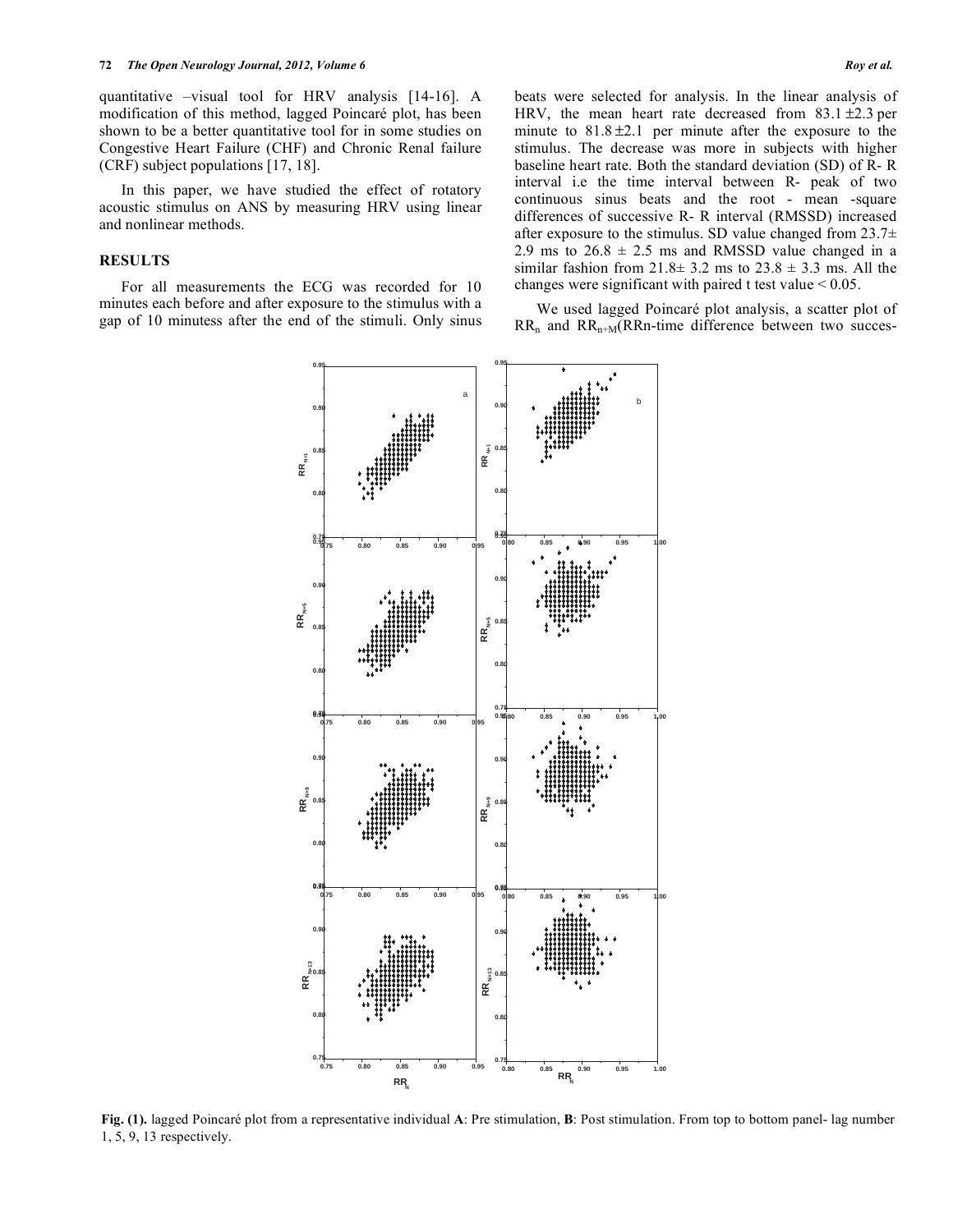quantitative –visual tool for HRV analysis [14-16]. A modification of this method, lagged Poincaré plot, has been shown to be a better quantitative tool for in some studies on Congestive Heart Failure (CHF) and Chronic Renal failure (CRF) subject populations [17, 18].

 In this paper, we have studied the effect of rotatory acoustic stimulus on ANS by measuring HRV using linear and nonlinear methods.

# **RESULTS**

 For all measurements the ECG was recorded for 10 minutes each before and after exposure to the stimulus with a gap of 10 minutess after the end of the stimuli. Only sinus beats were selected for analysis. In the linear analysis of HRV, the mean heart rate decreased from  $83.1 \pm 2.3$  per minute to  $81.8 \pm 2.1$  per minute after the exposure to the stimulus. The decrease was more in subjects with higher baseline heart rate. Both the standard deviation (SD) of R- R interval i.e the time interval between R- peak of two continuous sinus beats and the root - mean -square differences of successive R- R interval (RMSSD) increased after exposure to the stimulus. SD value changed from  $23.7\pm$ 2.9 ms to  $26.8 \pm 2.5$  ms and RMSSD value changed in a similar fashion from  $21.8 \pm 3.2$  ms to  $23.8 \pm 3.3$  ms. All the changes were significant with paired t test value < 0.05.

 We used lagged Poincaré plot analysis, a scatter plot of  $RR_n$  and  $RR_{n+M}(RRn-time$  difference between two succes-



**Fig. (1).** lagged Poincaré plot from a representative individual **A**: Pre stimulation, **B**: Post stimulation. From top to bottom panel- lag number 1, 5, 9, 13 respectively.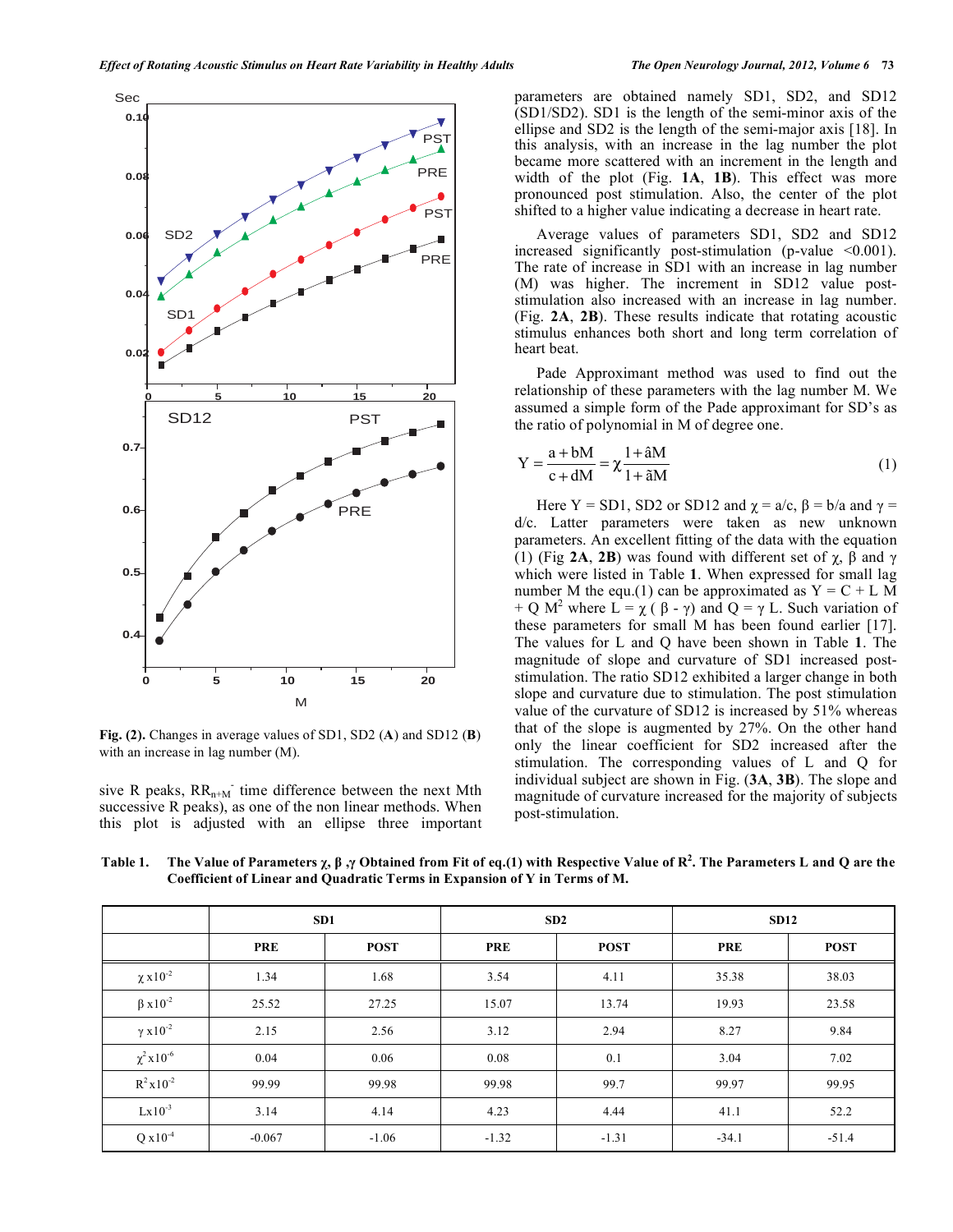

**Fig. (2).** Changes in average values of SD1, SD2 (**A**) and SD12 (**B**) with an increase in lag number (M).

sive R peaks,  $RR_{n+M}$  time difference between the next Mth successive R peaks), as one of the non linear methods. When this plot is adjusted with an ellipse three important

parameters are obtained namely SD1, SD2, and SD12 (SD1/SD2). SD1 is the length of the semi-minor axis of the ellipse and SD2 is the length of the semi-major axis [18]. In this analysis, with an increase in the lag number the plot became more scattered with an increment in the length and width of the plot (Fig. **1A**, **1B**). This effect was more pronounced post stimulation. Also, the center of the plot shifted to a higher value indicating a decrease in heart rate.

 Average values of parameters SD1, SD2 and SD12 increased significantly post-stimulation (p-value <0.001). The rate of increase in SD1 with an increase in lag number (M) was higher. The increment in SD12 value poststimulation also increased with an increase in lag number. (Fig. **2A**, **2B**). These results indicate that rotating acoustic stimulus enhances both short and long term correlation of heart beat.

 Pade Approximant method was used to find out the relationship of these parameters with the lag number M. We assumed a simple form of the Pade approximant for SD's as the ratio of polynomial in M of degree one.

$$
Y = \frac{a + bM}{c + dM} = \chi \frac{1 + \hat{a}M}{1 + \tilde{a}M}
$$
 (1)

Here Y = SD1, SD2 or SD12 and  $\chi = a/c$ ,  $\beta = b/a$  and  $\gamma =$ d/c. Latter parameters were taken as new unknown parameters. An excellent fitting of the data with the equation (1) (Fig **2A, 2B**) was found with different set of  $\chi$ ,  $\beta$  and  $\gamma$ which were listed in Table **1**. When expressed for small lag number M the equ.(1) can be approximated as  $Y = C + L$  M + Q M<sup>2</sup> where  $\vec{L} = \chi (\beta - \gamma)$  and Q =  $\gamma$  L. Such variation of these parameters for small M has been found earlier [17]. The values for L and Q have been shown in Table **1**. The magnitude of slope and curvature of SD1 increased poststimulation. The ratio SD12 exhibited a larger change in both slope and curvature due to stimulation. The post stimulation value of the curvature of SD12 is increased by 51% whereas that of the slope is augmented by 27%. On the other hand only the linear coefficient for SD2 increased after the stimulation. The corresponding values of L and Q for individual subject are shown in Fig. (**3A**, **3B**). The slope and magnitude of curvature increased for the majority of subjects post-stimulation.

Table 1. The Value of Parameters  $\chi$ ,  $\beta$  , $\gamma$  Obtained from Fit of eq.(1) with Respective Value of  $R^2$ . The Parameters L and Q are the **Coefficient of Linear and Quadratic Terms in Expansion of Y in Terms of M.** 

|                            | SD <sub>1</sub> |             | SD2        |             | <b>SD12</b> |             |
|----------------------------|-----------------|-------------|------------|-------------|-------------|-------------|
|                            | <b>PRE</b>      | <b>POST</b> | <b>PRE</b> | <b>POST</b> | <b>PRE</b>  | <b>POST</b> |
| $\chi$ x 10 <sup>-2</sup>  | 1.34            | 1.68        | 3.54       | 4.11        | 35.38       | 38.03       |
| $\beta$ x 10 <sup>-2</sup> | 25.52           | 27.25       | 15.07      | 13.74       | 19.93       | 23.58       |
| $\gamma \ge 10^{-2}$       | 2.15            | 2.56        | 3.12       | 2.94        | 8.27        | 9.84        |
| $\chi^2\,x10^{-6}$         | 0.04            | 0.06        | 0.08       | 0.1         | 3.04        | 7.02        |
| $R^2x10^{-2}$              | 99.99           | 99.98       | 99.98      | 99.7        | 99.97       | 99.95       |
| $Lx10^{-3}$                | 3.14            | 4.14        | 4.23       | 4.44        | 41.1        | 52.2        |
| $Q x 10^{-4}$              | $-0.067$        | $-1.06$     | $-1.32$    | $-1.31$     | $-34.1$     | $-51.4$     |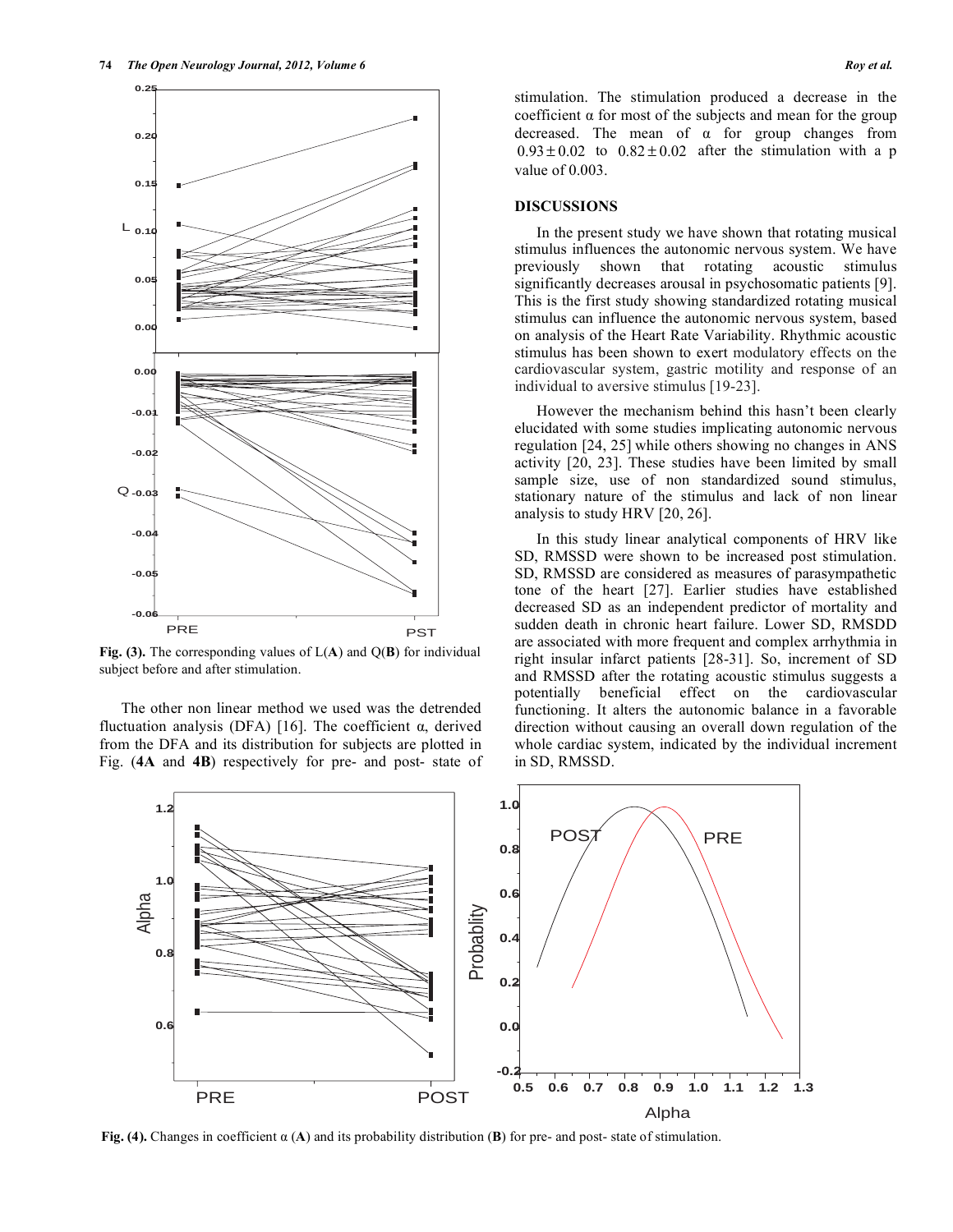

**Fig. (3).** The corresponding values of L(**A**) and Q(**B**) for individual subject before and after stimulation.

 The other non linear method we used was the detrended fluctuation analysis (DFA) [16]. The coefficient  $\alpha$ , derived from the DFA and its distribution for subjects are plotted in Fig. (**4A** and **4B**) respectively for pre- and post- state of stimulation. The stimulation produced a decrease in the coefficient  $\alpha$  for most of the subjects and mean for the group decreased. The mean of  $\alpha$  for group changes from  $0.93\pm0.02$  to  $0.82\pm0.02$  after the stimulation with a p value of 0.003.

### **DISCUSSIONS**

 In the present study we have shown that rotating musical stimulus influences the autonomic nervous system. We have previously shown that rotating acoustic stimulus significantly decreases arousal in psychosomatic patients [9]. This is the first study showing standardized rotating musical stimulus can influence the autonomic nervous system, based on analysis of the Heart Rate Variability. Rhythmic acoustic stimulus has been shown to exert modulatory effects on the cardiovascular system, gastric motility and response of an individual to aversive stimulus [19-23].

 However the mechanism behind this hasn't been clearly elucidated with some studies implicating autonomic nervous regulation [24, 25] while others showing no changes in ANS activity [20, 23]. These studies have been limited by small sample size, use of non standardized sound stimulus, stationary nature of the stimulus and lack of non linear analysis to study HRV [20, 26].

 In this study linear analytical components of HRV like SD, RMSSD were shown to be increased post stimulation. SD, RMSSD are considered as measures of parasympathetic tone of the heart [27]. Earlier studies have established decreased SD as an independent predictor of mortality and sudden death in chronic heart failure. Lower SD, RMSDD are associated with more frequent and complex arrhythmia in right insular infarct patients [28-31]. So, increment of SD and RMSSD after the rotating acoustic stimulus suggests a potentially beneficial effect on the cardiovascular functioning. It alters the autonomic balance in a favorable direction without causing an overall down regulation of the whole cardiac system, indicated by the individual increment in SD, RMSSD.



**Fig. (4).** Changes in coefficient  $\alpha$  (A) and its probability distribution (B) for pre- and post- state of stimulation.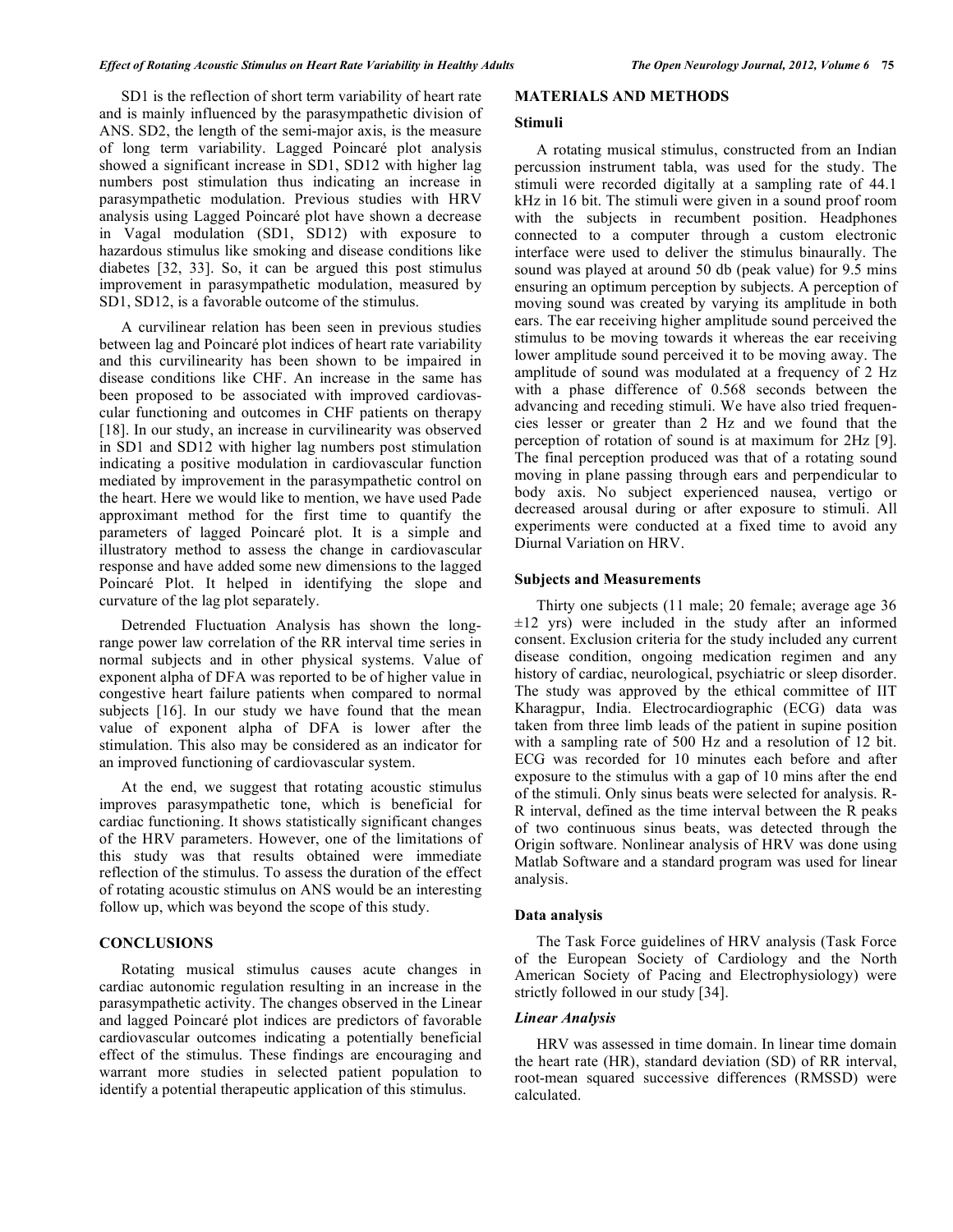SD1 is the reflection of short term variability of heart rate and is mainly influenced by the parasympathetic division of ANS. SD2, the length of the semi-major axis, is the measure of long term variability. Lagged Poincaré plot analysis showed a significant increase in SD1, SD12 with higher lag numbers post stimulation thus indicating an increase in parasympathetic modulation. Previous studies with HRV analysis using Lagged Poincaré plot have shown a decrease in Vagal modulation (SD1, SD12) with exposure to hazardous stimulus like smoking and disease conditions like diabetes [32, 33]. So, it can be argued this post stimulus improvement in parasympathetic modulation, measured by SD1, SD12, is a favorable outcome of the stimulus.

 A curvilinear relation has been seen in previous studies between lag and Poincaré plot indices of heart rate variability and this curvilinearity has been shown to be impaired in disease conditions like CHF. An increase in the same has been proposed to be associated with improved cardiovascular functioning and outcomes in CHF patients on therapy [18]. In our study, an increase in curvilinearity was observed in SD1 and SD12 with higher lag numbers post stimulation indicating a positive modulation in cardiovascular function mediated by improvement in the parasympathetic control on the heart. Here we would like to mention, we have used Pade approximant method for the first time to quantify the parameters of lagged Poincaré plot. It is a simple and illustratory method to assess the change in cardiovascular response and have added some new dimensions to the lagged Poincaré Plot. It helped in identifying the slope and curvature of the lag plot separately.

 Detrended Fluctuation Analysis has shown the longrange power law correlation of the RR interval time series in normal subjects and in other physical systems. Value of exponent alpha of DFA was reported to be of higher value in congestive heart failure patients when compared to normal subjects [16]. In our study we have found that the mean value of exponent alpha of DFA is lower after the stimulation. This also may be considered as an indicator for an improved functioning of cardiovascular system.

 At the end, we suggest that rotating acoustic stimulus improves parasympathetic tone, which is beneficial for cardiac functioning. It shows statistically significant changes of the HRV parameters. However, one of the limitations of this study was that results obtained were immediate reflection of the stimulus. To assess the duration of the effect of rotating acoustic stimulus on ANS would be an interesting follow up, which was beyond the scope of this study.

#### **CONCLUSIONS**

 Rotating musical stimulus causes acute changes in cardiac autonomic regulation resulting in an increase in the parasympathetic activity. The changes observed in the Linear and lagged Poincaré plot indices are predictors of favorable cardiovascular outcomes indicating a potentially beneficial effect of the stimulus. These findings are encouraging and warrant more studies in selected patient population to identify a potential therapeutic application of this stimulus.

# **MATERIALS AND METHODS**

#### **Stimuli**

 A rotating musical stimulus, constructed from an Indian percussion instrument tabla, was used for the study. The stimuli were recorded digitally at a sampling rate of 44.1 kHz in 16 bit. The stimuli were given in a sound proof room with the subjects in recumbent position. Headphones connected to a computer through a custom electronic interface were used to deliver the stimulus binaurally. The sound was played at around 50 db (peak value) for 9.5 mins ensuring an optimum perception by subjects. A perception of moving sound was created by varying its amplitude in both ears. The ear receiving higher amplitude sound perceived the stimulus to be moving towards it whereas the ear receiving lower amplitude sound perceived it to be moving away. The amplitude of sound was modulated at a frequency of 2 Hz with a phase difference of 0.568 seconds between the advancing and receding stimuli. We have also tried frequencies lesser or greater than 2 Hz and we found that the perception of rotation of sound is at maximum for 2Hz [9]. The final perception produced was that of a rotating sound moving in plane passing through ears and perpendicular to body axis. No subject experienced nausea, vertigo or decreased arousal during or after exposure to stimuli. All experiments were conducted at a fixed time to avoid any Diurnal Variation on HRV.

# **Subjects and Measurements**

 Thirty one subjects (11 male; 20 female; average age 36  $\pm 12$  yrs) were included in the study after an informed consent. Exclusion criteria for the study included any current disease condition, ongoing medication regimen and any history of cardiac, neurological, psychiatric or sleep disorder. The study was approved by the ethical committee of IIT Kharagpur, India. Electrocardiographic (ECG) data was taken from three limb leads of the patient in supine position with a sampling rate of 500 Hz and a resolution of 12 bit. ECG was recorded for 10 minutes each before and after exposure to the stimulus with a gap of 10 mins after the end of the stimuli. Only sinus beats were selected for analysis. R-R interval, defined as the time interval between the R peaks of two continuous sinus beats, was detected through the Origin software. Nonlinear analysis of HRV was done using Matlab Software and a standard program was used for linear analysis.

### **Data analysis**

 The Task Force guidelines of HRV analysis (Task Force of the European Society of Cardiology and the North American Society of Pacing and Electrophysiology) were strictly followed in our study [34].

#### *Linear Analysis*

 HRV was assessed in time domain. In linear time domain the heart rate (HR), standard deviation (SD) of RR interval, root-mean squared successive differences (RMSSD) were calculated.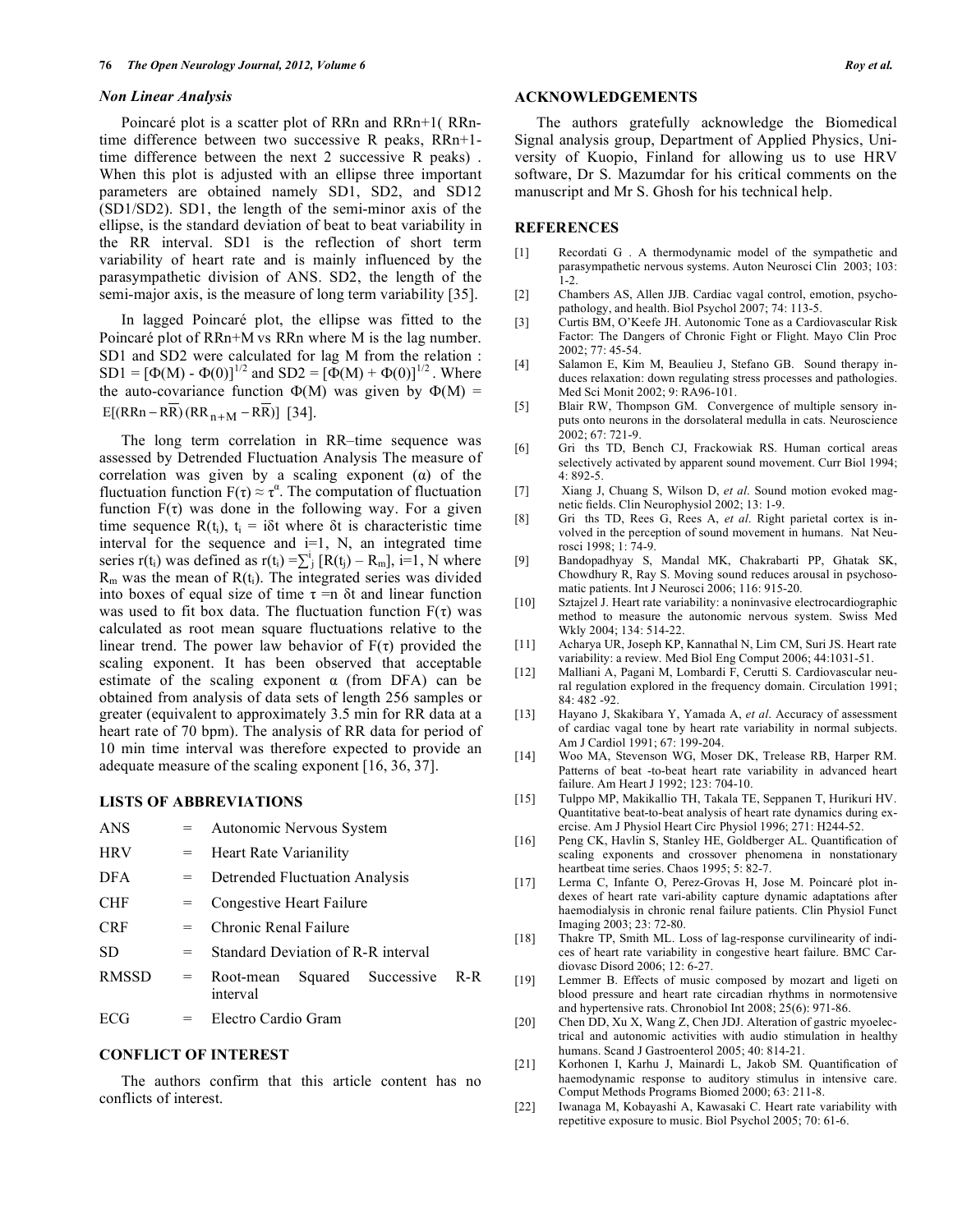#### *Non Linear Analysis*

 Poincaré plot is a scatter plot of RRn and RRn+1( RRntime difference between two successive R peaks, RRn+1 time difference between the next 2 successive R peaks) . When this plot is adjusted with an ellipse three important parameters are obtained namely SD1, SD2, and SD12 (SD1/SD2). SD1, the length of the semi-minor axis of the ellipse, is the standard deviation of beat to beat variability in the RR interval. SD1 is the reflection of short term variability of heart rate and is mainly influenced by the parasympathetic division of ANS. SD2, the length of the semi-major axis, is the measure of long term variability [35].

 In lagged Poincaré plot, the ellipse was fitted to the Poincaré plot of RRn+M vs RRn where M is the lag number. SD1 and SD2 were calculated for lag M from the relation : SD1 =  $[\Phi(M) - \Phi(0)]^{1/2}$  and SD2 =  $[\Phi(M) + \Phi(0)]^{1/2}$ . Where the auto-covariance function  $\Phi(M)$  was given by  $\Phi(M)$  =  $E[(RRn - R\overline{R}) (RR_{n+M} - R\overline{R})]$  [34].

 The long term correlation in RR–time sequence was assessed by Detrended Fluctuation Analysis The measure of correlation was given by a scaling exponent  $(a)$  of the fluctuation function  $F(\tau) \approx \tau^{\alpha}$ . The computation of fluctuation function  $F(\tau)$  was done in the following way. For a given time sequence  $R(t_i)$ ,  $t_i = i\delta t$  where  $\delta t$  is characteristic time interval for the sequence and  $i=1$ , N, an integrated time series r(t<sub>i</sub>) was defined as r(t<sub>i</sub>) =  $\sum_{j}^{i} [\hat{R}(t_j) - R_m]$ , i=1, N where  $R_m$  was the mean of  $R(t_i)$ . The integrated series was divided into boxes of equal size of time  $\tau = n$  of and linear function was used to fit box data. The fluctuation function  $F(\tau)$  was calculated as root mean square fluctuations relative to the linear trend. The power law behavior of  $F(\tau)$  provided the scaling exponent. It has been observed that acceptable estimate of the scaling exponent  $\alpha$  (from DFA) can be obtained from analysis of data sets of length 256 samples or greater (equivalent to approximately 3.5 min for RR data at a heart rate of 70 bpm). The analysis of RR data for period of 10 min time interval was therefore expected to provide an adequate measure of the scaling exponent [16, 36, 37].

#### **LISTS OF ABBREVIATIONS**

| <b>ANS</b>   |     | = Autonomic Nervous System                           |  |  |  |  |
|--------------|-----|------------------------------------------------------|--|--|--|--|
| <b>HRV</b>   | $=$ | <b>Heart Rate Varianility</b>                        |  |  |  |  |
| <b>DFA</b>   | $=$ | Detrended Fluctuation Analysis                       |  |  |  |  |
| <b>CHF</b>   | $=$ | Congestive Heart Failure                             |  |  |  |  |
| <b>CRF</b>   | $=$ | Chronic Renal Failure                                |  |  |  |  |
| SD.          | $=$ | Standard Deviation of R-R interval                   |  |  |  |  |
| <b>RMSSD</b> | =   | Squared Successive<br>$R-R$<br>Root-mean<br>interval |  |  |  |  |
| ECG          | $=$ | Electro Cardio Gram                                  |  |  |  |  |

#### **CONFLICT OF INTEREST**

 The authors confirm that this article content has no conflicts of interest.

#### **ACKNOWLEDGEMENTS**

 The authors gratefully acknowledge the Biomedical Signal analysis group, Department of Applied Physics, University of Kuopio, Finland for allowing us to use HRV software, Dr S. Mazumdar for his critical comments on the manuscript and Mr S. Ghosh for his technical help.

#### **REFERENCES**

- [1] Recordati G . A thermodynamic model of the sympathetic and parasympathetic nervous systems. Auton Neurosci Clin 2003; 103:  $1 - 2$ .
- [2] Chambers AS, Allen JJB. Cardiac vagal control, emotion, psychopathology, and health. Biol Psychol 2007; 74: 113-5.
- [3] Curtis BM, O'Keefe JH. Autonomic Tone as a Cardiovascular Risk Factor: The Dangers of Chronic Fight or Flight. Mayo Clin Proc 2002; 77: 45-54.
- [4] Salamon E, Kim M, Beaulieu J, Stefano GB. Sound therapy induces relaxation: down regulating stress processes and pathologies. Med Sci Monit 2002; 9: RA96-101.
- [5] Blair RW, Thompson GM. Convergence of multiple sensory inputs onto neurons in the dorsolateral medulla in cats. Neuroscience 2002; 67: 721-9.
- [6] Gri ths TD, Bench CJ, Frackowiak RS. Human cortical areas selectively activated by apparent sound movement. Curr Biol 1994;  $4.892 - 5$
- [7] Xiang J, Chuang S, Wilson D, *et al*. Sound motion evoked magnetic fields. Clin Neurophysiol 2002; 13: 1-9.
- [8] Gri ths TD, Rees G, Rees A, *et al*. Right parietal cortex is involved in the perception of sound movement in humans. Nat Neurosci 1998; 1: 74-9.
- [9] Bandopadhyay S, Mandal MK, Chakrabarti PP, Ghatak SK, Chowdhury R, Ray S. Moving sound reduces arousal in psychosomatic patients. Int J Neurosci 2006; 116: 915-20.
- [10] Sztajzel J. Heart rate variability: a noninvasive electrocardiographic method to measure the autonomic nervous system. Swiss Med Wkly 2004; 134: 514-22.
- [11] Acharya UR, Joseph KP, Kannathal N, Lim CM, Suri JS. Heart rate variability: a review. Med Biol Eng Comput 2006; 44:1031-51.
- [12] Malliani A, Pagani M, Lombardi F, Cerutti S. Cardiovascular neural regulation explored in the frequency domain. Circulation 1991; 84: 482 -92.
- [13] Hayano J, Skakibara Y, Yamada A, *et al*. Accuracy of assessment of cardiac vagal tone by heart rate variability in normal subjects. Am J Cardiol 1991; 67: 199-204.
- [14] Woo MA, Stevenson WG, Moser DK, Trelease RB, Harper RM. Patterns of beat -to-beat heart rate variability in advanced heart failure. Am Heart J 1992; 123: 704-10.
- [15] Tulppo MP, Makikallio TH, Takala TE, Seppanen T, Hurikuri HV. Quantitative beat-to-beat analysis of heart rate dynamics during exercise. Am J Physiol Heart Circ Physiol 1996; 271: H244-52.
- [16] Peng CK, Havlin S, Stanley HE, Goldberger AL. Quantification of scaling exponents and crossover phenomena in nonstationary heartbeat time series. Chaos 1995; 5: 82-7.
- [17] Lerma C, Infante O, Perez-Grovas H, Jose M. Poincaré plot indexes of heart rate vari-ability capture dynamic adaptations after haemodialysis in chronic renal failure patients. Clin Physiol Funct Imaging 2003; 23: 72-80.
- [18] Thakre TP, Smith ML. Loss of lag-response curvilinearity of indices of heart rate variability in congestive heart failure. BMC Cardiovasc Disord 2006; 12: 6-27.
- [19] Lemmer B. Effects of music composed by mozart and ligeti on blood pressure and heart rate circadian rhythms in normotensive and hypertensive rats. Chronobiol Int 2008; 25(6): 971-86.
- [20] Chen DD, Xu X, Wang Z, Chen JDJ. Alteration of gastric myoelectrical and autonomic activities with audio stimulation in healthy humans. Scand J Gastroenterol 2005; 40: 814-21.
- [21] Korhonen I, Karhu J, Mainardi L, Jakob SM. Quantification of haemodynamic response to auditory stimulus in intensive care. Comput Methods Programs Biomed 2000; 63: 211-8.
- [22] Iwanaga M, Kobayashi A, Kawasaki C. Heart rate variability with repetitive exposure to music. Biol Psychol 2005; 70: 61-6.